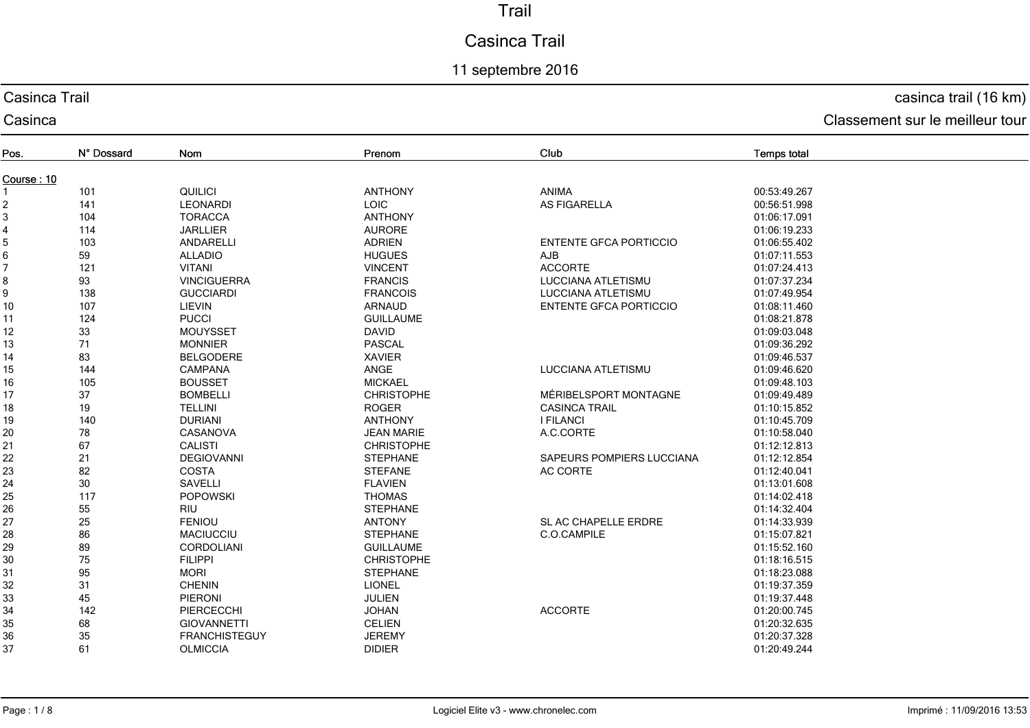# Casinca Trail

## 11 septembre 2016

### Casinca Trail

Casinca

## casinca trail (16 km)

| Pos.           | N° Dossard | <b>Nom</b>           | Prenom            | Club                          | <b>Temps total</b> |  |  |
|----------------|------------|----------------------|-------------------|-------------------------------|--------------------|--|--|
| Course: 10     |            |                      |                   |                               |                    |  |  |
|                | 101        | QUILICI              | <b>ANTHONY</b>    | <b>ANIMA</b>                  | 00:53:49.267       |  |  |
| $\overline{c}$ | 141        | <b>LEONARDI</b>      | <b>LOIC</b>       | <b>AS FIGARELLA</b>           | 00:56:51.998       |  |  |
| 3              | 104        | <b>TORACCA</b>       | <b>ANTHONY</b>    |                               | 01:06:17.091       |  |  |
| 4              | 114        | <b>JARLLIER</b>      | <b>AURORE</b>     |                               | 01:06:19.233       |  |  |
| 5              | 103        | ANDARELLI            | <b>ADRIEN</b>     | <b>ENTENTE GFCA PORTICCIO</b> | 01:06:55.402       |  |  |
| 6              | 59         | <b>ALLADIO</b>       | <b>HUGUES</b>     | <b>AJB</b>                    | 01:07:11.553       |  |  |
| 7              | 121        | <b>VITANI</b>        | <b>VINCENT</b>    | <b>ACCORTE</b>                | 01:07:24.413       |  |  |
| 8              | 93         | <b>VINCIGUERRA</b>   | <b>FRANCIS</b>    | <b>LUCCIANA ATLETISMU</b>     | 01:07:37.234       |  |  |
| 9              | 138        | <b>GUCCIARDI</b>     | <b>FRANCOIS</b>   | <b>LUCCIANA ATLETISMU</b>     | 01:07:49.954       |  |  |
| 10             | 107        | LIEVIN               | <b>ARNAUD</b>     | <b>ENTENTE GFCA PORTICCIO</b> | 01:08:11.460       |  |  |
| 11             | 124        | <b>PUCCI</b>         | <b>GUILLAUME</b>  |                               | 01:08:21.878       |  |  |
| 12             | 33         | <b>MOUYSSET</b>      | <b>DAVID</b>      |                               | 01:09:03.048       |  |  |
| 13             | 71         | <b>MONNIER</b>       | <b>PASCAL</b>     |                               | 01:09:36.292       |  |  |
| 14             | 83         | <b>BELGODERE</b>     | <b>XAVIER</b>     |                               | 01:09:46.537       |  |  |
| 15             | 144        | <b>CAMPANA</b>       | ANGE              | LUCCIANA ATLETISMU            | 01:09:46.620       |  |  |
| 16             | 105        | <b>BOUSSET</b>       | <b>MICKAEL</b>    |                               | 01:09:48.103       |  |  |
| 17             | 37         | <b>BOMBELLI</b>      | <b>CHRISTOPHE</b> | MÉRIBELSPORT MONTAGNE         | 01:09:49.489       |  |  |
| 18             | 19         | <b>TELLINI</b>       | <b>ROGER</b>      | <b>CASINCA TRAIL</b>          | 01:10:15.852       |  |  |
| 19             | 140        | <b>DURIANI</b>       | <b>ANTHONY</b>    | <b>I FILANCI</b>              | 01:10:45.709       |  |  |
| 20             | 78         | <b>CASANOVA</b>      | <b>JEAN MARIE</b> | A.C.CORTE                     | 01:10:58.040       |  |  |
| 21             | 67         | <b>CALISTI</b>       | <b>CHRISTOPHE</b> |                               | 01:12:12.813       |  |  |
| 22             | 21         | <b>DEGIOVANNI</b>    | <b>STEPHANE</b>   | SAPEURS POMPIERS LUCCIANA     | 01:12:12.854       |  |  |
| 23             | 82         | <b>COSTA</b>         | <b>STEFANE</b>    | AC CORTE                      | 01:12:40.041       |  |  |
| 24             | 30         | <b>SAVELLI</b>       | <b>FLAVIEN</b>    |                               | 01:13:01.608       |  |  |
| 25             | 117        | <b>POPOWSKI</b>      | <b>THOMAS</b>     |                               | 01:14:02.418       |  |  |
| 26             | 55         | RIU                  | <b>STEPHANE</b>   |                               | 01:14:32.404       |  |  |
| 27             | 25         | <b>FENIOU</b>        | <b>ANTONY</b>     | SL AC CHAPELLE ERDRE          | 01:14:33.939       |  |  |
| 28             | 86         | <b>MACIUCCIU</b>     | <b>STEPHANE</b>   | C.O.CAMPILE                   | 01:15:07.821       |  |  |
| 29             | 89         | <b>CORDOLIANI</b>    | <b>GUILLAUME</b>  |                               | 01:15:52.160       |  |  |
| 30             | 75         | <b>FILIPPI</b>       | <b>CHRISTOPHE</b> |                               | 01:18:16.515       |  |  |
| 31             | 95         | <b>MORI</b>          | <b>STEPHANE</b>   |                               | 01:18:23.088       |  |  |
| 32             | 31         | <b>CHENIN</b>        | <b>LIONEL</b>     |                               | 01:19:37.359       |  |  |
| 33             | 45         | PIERONI              | JULIEN            |                               | 01:19:37.448       |  |  |
| 34             | 142        | PIERCECCHI           | <b>JOHAN</b>      | <b>ACCORTE</b>                | 01:20:00.745       |  |  |
| 35             | 68         | <b>GIOVANNETTI</b>   | <b>CELIEN</b>     |                               | 01:20:32.635       |  |  |
| 36             | 35         | <b>FRANCHISTEGUY</b> | <b>JEREMY</b>     |                               | 01:20:37.328       |  |  |
| 37             | 61         | <b>OLMICCIA</b>      | <b>DIDIER</b>     |                               | 01:20:49.244       |  |  |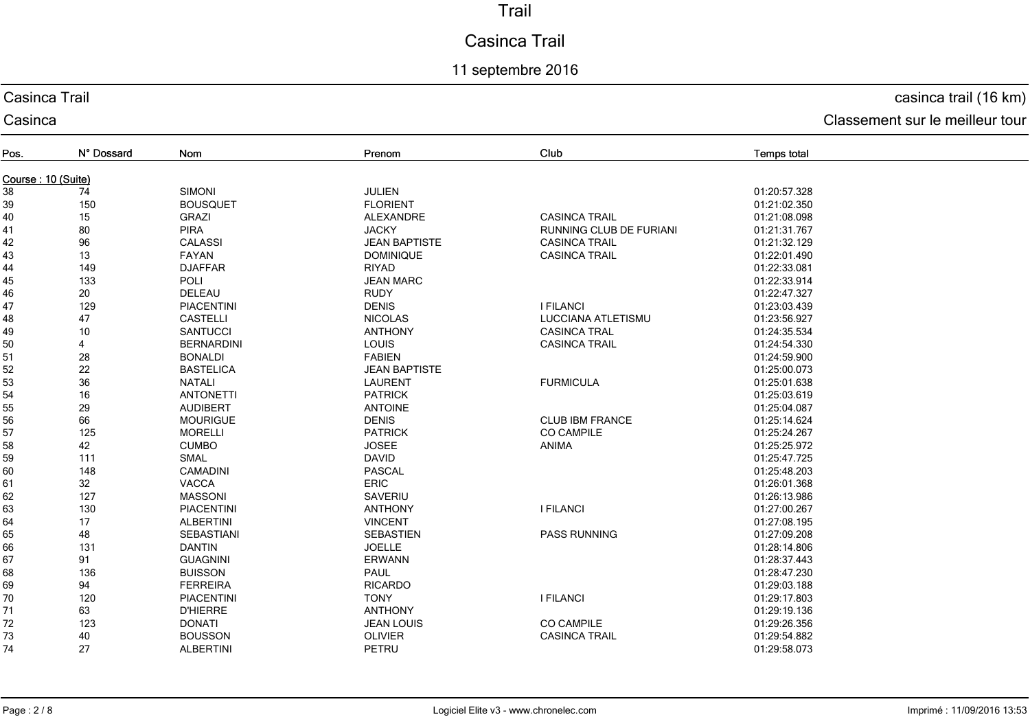# Casinca Trail

## 11 septembre 2016

## Casinca Trail

#### Casinca

# casinca trail (16 km)

| Pos.               | N° Dossard | Nom               | Prenom               | Club                           | <b>Temps total</b> |  |  |
|--------------------|------------|-------------------|----------------------|--------------------------------|--------------------|--|--|
| Course: 10 (Suite) |            |                   |                      |                                |                    |  |  |
| 38                 | 74         | <b>SIMONI</b>     | <b>JULIEN</b>        |                                | 01:20:57.328       |  |  |
| 39                 | 150        | <b>BOUSQUET</b>   | <b>FLORIENT</b>      |                                | 01:21:02.350       |  |  |
| 40                 | 15         | <b>GRAZI</b>      | <b>ALEXANDRE</b>     | <b>CASINCA TRAIL</b>           | 01:21:08.098       |  |  |
| 41                 | 80         | <b>PIRA</b>       | <b>JACKY</b>         | <b>RUNNING CLUB DE FURIANI</b> | 01:21:31.767       |  |  |
| 42                 | 96         | <b>CALASSI</b>    | <b>JEAN BAPTISTE</b> | <b>CASINCA TRAIL</b>           | 01:21:32.129       |  |  |
| 43                 | 13         | FAYAN             | <b>DOMINIQUE</b>     | <b>CASINCA TRAIL</b>           | 01:22:01.490       |  |  |
| 44                 | 149        | <b>DJAFFAR</b>    | <b>RIYAD</b>         |                                | 01:22:33.081       |  |  |
| 45                 | 133        | <b>POLI</b>       | <b>JEAN MARC</b>     |                                | 01:22:33.914       |  |  |
| 46                 | 20         | DELEAU            | <b>RUDY</b>          |                                | 01:22:47.327       |  |  |
| 47                 | 129        | <b>PIACENTINI</b> | <b>DENIS</b>         | <b>I FILANCI</b>               | 01:23:03.439       |  |  |
| 48                 | 47         | <b>CASTELLI</b>   | <b>NICOLAS</b>       | <b>LUCCIANA ATLETISMU</b>      | 01:23:56.927       |  |  |
| 49                 | 10         | <b>SANTUCCI</b>   | <b>ANTHONY</b>       | <b>CASINCA TRAL</b>            | 01:24:35.534       |  |  |
| 50                 | 4          | <b>BERNARDINI</b> | LOUIS                | <b>CASINCA TRAIL</b>           | 01:24:54.330       |  |  |
| 51                 | 28         | <b>BONALDI</b>    | <b>FABIEN</b>        |                                | 01:24:59.900       |  |  |
| 52                 | 22         | <b>BASTELICA</b>  | <b>JEAN BAPTISTE</b> |                                | 01:25:00.073       |  |  |
| 53                 | 36         | <b>NATALI</b>     | <b>LAURENT</b>       | <b>FURMICULA</b>               | 01:25:01.638       |  |  |
| 54                 | 16         | <b>ANTONETTI</b>  | <b>PATRICK</b>       |                                | 01:25:03.619       |  |  |
| 55                 | 29         | <b>AUDIBERT</b>   | <b>ANTOINE</b>       |                                | 01:25:04.087       |  |  |
| 56                 | 66         | <b>MOURIGUE</b>   | <b>DENIS</b>         | <b>CLUB IBM FRANCE</b>         | 01:25:14.624       |  |  |
| 57                 | 125        | <b>MORELLI</b>    | <b>PATRICK</b>       | <b>CO CAMPILE</b>              | 01:25:24.267       |  |  |
| 58                 | 42         | <b>CUMBO</b>      | <b>JOSEE</b>         | ANIMA                          | 01:25:25.972       |  |  |
| 59                 | 111        | <b>SMAL</b>       | <b>DAVID</b>         |                                | 01:25:47.725       |  |  |
| 60                 | 148        | CAMADINI          | <b>PASCAL</b>        |                                | 01:25:48.203       |  |  |
| 61                 | 32         | <b>VACCA</b>      | <b>ERIC</b>          |                                | 01:26:01.368       |  |  |
| 62                 | 127        | <b>MASSONI</b>    | SAVERIU              |                                | 01:26:13.986       |  |  |
| 63                 | 130        | <b>PIACENTINI</b> | <b>ANTHONY</b>       | <b>I FILANCI</b>               | 01:27:00.267       |  |  |
| 64                 | 17         | <b>ALBERTINI</b>  | <b>VINCENT</b>       |                                | 01:27:08.195       |  |  |
| 65                 | 48         | SEBASTIANI        | <b>SEBASTIEN</b>     | <b>PASS RUNNING</b>            | 01:27:09.208       |  |  |
| 66                 | 131        | <b>DANTIN</b>     | <b>JOELLE</b>        |                                | 01:28:14.806       |  |  |
| 67                 | 91         | <b>GUAGNINI</b>   | <b>ERWANN</b>        |                                | 01:28:37.443       |  |  |
| 68                 | 136        | <b>BUISSON</b>    | <b>PAUL</b>          |                                | 01:28:47.230       |  |  |
| 69                 | 94         | <b>FERREIRA</b>   | <b>RICARDO</b>       |                                | 01:29:03.188       |  |  |
| 70                 | 120        | <b>PIACENTINI</b> | <b>TONY</b>          | <b>I FILANCI</b>               | 01:29:17.803       |  |  |
| 71                 | 63         | <b>D'HIERRE</b>   | <b>ANTHONY</b>       |                                | 01:29:19.136       |  |  |
| 72                 | 123        | <b>DONATI</b>     | <b>JEAN LOUIS</b>    | CO CAMPILE                     | 01:29:26.356       |  |  |
| 73                 | 40         | <b>BOUSSON</b>    | <b>OLIVIER</b>       | <b>CASINCA TRAIL</b>           | 01:29:54.882       |  |  |
| 74                 | 27         | <b>ALBERTINI</b>  | PETRU                |                                | 01:29:58.073       |  |  |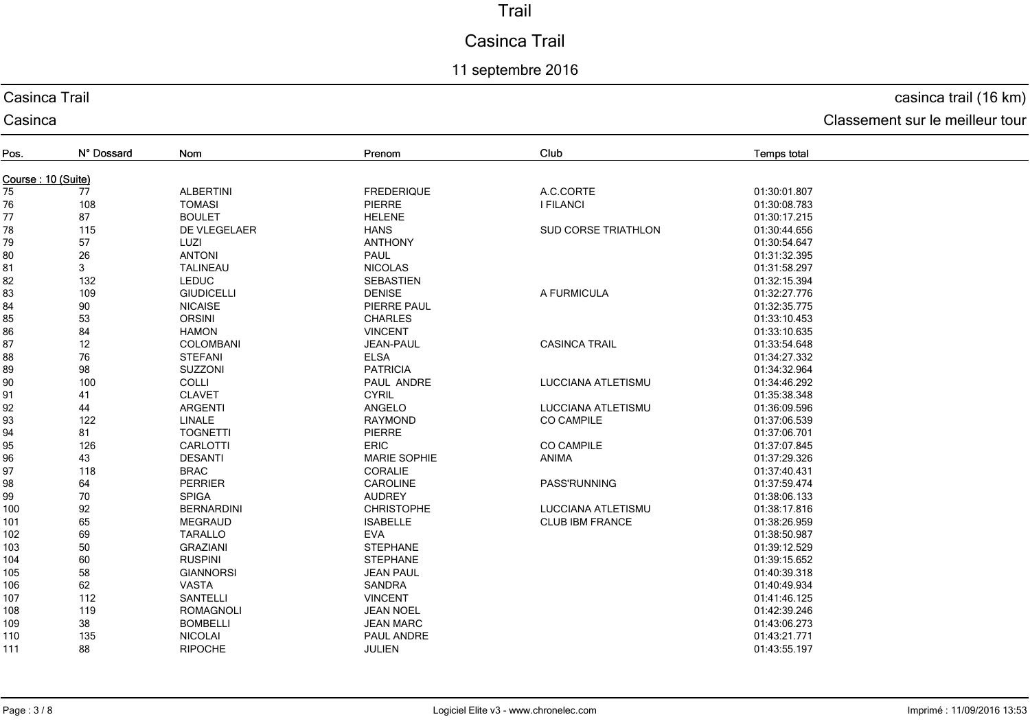# Casinca Trail

## 11 septembre 2016

## Casinca Trail

Casinca

## casinca trail (16 km)

| Pos.               | N° Dossard | <b>Nom</b>        | Prenom              | Club                       | <b>Temps total</b> |  |  |
|--------------------|------------|-------------------|---------------------|----------------------------|--------------------|--|--|
| Course: 10 (Suite) |            |                   |                     |                            |                    |  |  |
| 75                 | 77         | <b>ALBERTINI</b>  | <b>FREDERIQUE</b>   | A.C.CORTE                  | 01:30:01.807       |  |  |
| 76                 | 108        | <b>TOMASI</b>     | PIERRE              | <b>I FILANCI</b>           | 01:30:08.783       |  |  |
| 77                 | 87         | <b>BOULET</b>     | <b>HELENE</b>       |                            | 01:30:17.215       |  |  |
| 78                 | 115        | DE VLEGELAER      | <b>HANS</b>         | <b>SUD CORSE TRIATHLON</b> | 01:30:44.656       |  |  |
| 79                 | 57         | LUZI              | <b>ANTHONY</b>      |                            | 01:30:54.647       |  |  |
| 80                 | 26         | <b>ANTONI</b>     | PAUL                |                            | 01:31:32.395       |  |  |
| 81                 | 3          | <b>TALINEAU</b>   | <b>NICOLAS</b>      |                            | 01:31:58.297       |  |  |
| 82                 | 132        | <b>LEDUC</b>      | <b>SEBASTIEN</b>    |                            | 01:32:15.394       |  |  |
| 83                 | 109        | <b>GIUDICELLI</b> | <b>DENISE</b>       | A FURMICULA                | 01:32:27.776       |  |  |
| 84                 | 90         | <b>NICAISE</b>    | PIERRE PAUL         |                            | 01:32:35.775       |  |  |
| 85                 | 53         | <b>ORSINI</b>     | <b>CHARLES</b>      |                            | 01:33:10.453       |  |  |
| 86                 | 84         | <b>HAMON</b>      | <b>VINCENT</b>      |                            | 01:33:10.635       |  |  |
| 87                 | 12         | COLOMBANI         | JEAN-PAUL           | <b>CASINCA TRAIL</b>       | 01:33:54.648       |  |  |
| 88                 | 76         | <b>STEFANI</b>    | <b>ELSA</b>         |                            | 01:34:27.332       |  |  |
| 89                 | 98         | SUZZONI           | <b>PATRICIA</b>     |                            | 01:34:32.964       |  |  |
| 90                 | 100        | COLLI             | PAUL ANDRE          | LUCCIANA ATLETISMU         | 01:34:46.292       |  |  |
| 91                 | 41         | <b>CLAVET</b>     | <b>CYRIL</b>        |                            | 01:35:38.348       |  |  |
| 92                 | 44         | <b>ARGENTI</b>    | ANGELO              | LUCCIANA ATLETISMU         | 01:36:09.596       |  |  |
| 93                 | 122        | <b>LINALE</b>     | RAYMOND             | <b>CO CAMPILE</b>          | 01:37:06.539       |  |  |
| 94                 | 81         | <b>TOGNETTI</b>   | <b>PIERRE</b>       |                            | 01:37:06.701       |  |  |
| 95                 | 126        | CARLOTTI          | <b>ERIC</b>         | <b>CO CAMPILE</b>          | 01:37:07.845       |  |  |
| 96                 | 43         | <b>DESANTI</b>    | <b>MARIE SOPHIE</b> | ANIMA                      | 01:37:29.326       |  |  |
| 97                 | 118        | <b>BRAC</b>       | CORALIE             |                            | 01:37:40.431       |  |  |
| 98                 | 64         | PERRIER           | CAROLINE            | <b>PASS'RUNNING</b>        | 01:37:59.474       |  |  |
| 99                 | 70         | <b>SPIGA</b>      | <b>AUDREY</b>       |                            | 01:38:06.133       |  |  |
| 100                | 92         | <b>BERNARDINI</b> | <b>CHRISTOPHE</b>   | LUCCIANA ATLETISMU         | 01:38:17.816       |  |  |
| 101                | 65         | <b>MEGRAUD</b>    | <b>ISABELLE</b>     | <b>CLUB IBM FRANCE</b>     | 01:38:26.959       |  |  |
| 102                | 69         | <b>TARALLO</b>    | <b>EVA</b>          |                            | 01:38:50.987       |  |  |
| 103                | 50         | <b>GRAZIANI</b>   | <b>STEPHANE</b>     |                            | 01:39:12.529       |  |  |
| 104                | 60         | <b>RUSPINI</b>    | <b>STEPHANE</b>     |                            | 01:39:15.652       |  |  |
| 105                | 58         | <b>GIANNORSI</b>  | <b>JEAN PAUL</b>    |                            | 01:40:39.318       |  |  |
| 106                | 62         | <b>VASTA</b>      | SANDRA              |                            | 01:40:49.934       |  |  |
| 107                | 112        | <b>SANTELLI</b>   | <b>VINCENT</b>      |                            | 01:41:46.125       |  |  |
| 108                | 119        | ROMAGNOLI         | <b>JEAN NOEL</b>    |                            | 01:42:39.246       |  |  |
| 109                | 38         | <b>BOMBELLI</b>   | <b>JEAN MARC</b>    |                            | 01:43:06.273       |  |  |
| 110                | 135        | <b>NICOLAI</b>    | PAUL ANDRE          |                            | 01:43:21.771       |  |  |
| 111                | 88         | <b>RIPOCHE</b>    | <b>JULIEN</b>       |                            | 01:43:55.197       |  |  |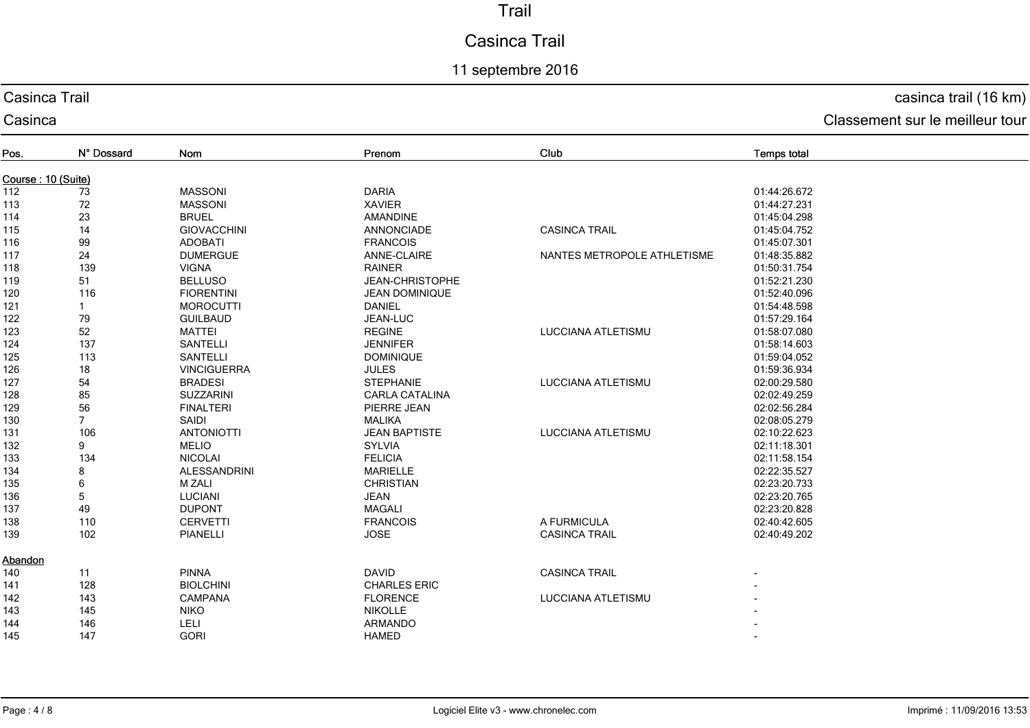# Casinca Trail

## 11 septembre 2016

## Casinca Trail

#### Casinca

# casinca trail (16 km)

| Pos.               | N° Dossard     | Nom                 | Prenom                | Club                        | <b>Temps total</b> |  |  |
|--------------------|----------------|---------------------|-----------------------|-----------------------------|--------------------|--|--|
| Course: 10 (Suite) |                |                     |                       |                             |                    |  |  |
| 112                | 73             | <b>MASSONI</b>      | <b>DARIA</b>          |                             | 01:44:26.672       |  |  |
| 113                | 72             | <b>MASSONI</b>      | <b>XAVIER</b>         |                             | 01:44:27.231       |  |  |
| 114                | 23             | <b>BRUEL</b>        | AMANDINE              |                             | 01:45:04.298       |  |  |
| 115                | 14             | <b>GIOVACCHINI</b>  | <b>ANNONCIADE</b>     | <b>CASINCA TRAIL</b>        | 01:45:04.752       |  |  |
| 116                | 99             | <b>ADOBATI</b>      | <b>FRANCOIS</b>       |                             | 01:45:07.301       |  |  |
| 117                | 24             | <b>DUMERGUE</b>     | ANNE-CLAIRE           | NANTES METROPOLE ATHLETISME | 01:48:35.882       |  |  |
| 118                | 139            | <b>VIGNA</b>        | <b>RAINER</b>         |                             | 01:50:31.754       |  |  |
| 119                | 51             | <b>BELLUSO</b>      | JEAN-CHRISTOPHE       |                             | 01:52:21.230       |  |  |
| 120                | 116            | <b>FIORENTINI</b>   | <b>JEAN DOMINIQUE</b> |                             | 01:52:40.096       |  |  |
| 121                |                | <b>MOROCUTTI</b>    | <b>DANIEL</b>         |                             | 01:54:48.598       |  |  |
| 122                | 79             | <b>GUILBAUD</b>     | JEAN-LUC              |                             | 01:57:29.164       |  |  |
| 123                | 52             | <b>MATTEI</b>       | <b>REGINE</b>         | <b>LUCCIANA ATLETISMU</b>   | 01:58:07.080       |  |  |
| 124                | 137            | <b>SANTELLI</b>     | <b>JENNIFER</b>       |                             | 01:58:14.603       |  |  |
| 125                | 113            | <b>SANTELLI</b>     | <b>DOMINIQUE</b>      |                             | 01:59:04.052       |  |  |
| 126                | 18             | <b>VINCIGUERRA</b>  | <b>JULES</b>          |                             | 01:59:36.934       |  |  |
| 127                | 54             | <b>BRADESI</b>      | <b>STEPHANIE</b>      | <b>LUCCIANA ATLETISMU</b>   | 02:00:29.580       |  |  |
| 128                | 85             | <b>SUZZARINI</b>    | <b>CARLA CATALINA</b> |                             | 02:02:49.259       |  |  |
| 129                | 56             | <b>FINALTERI</b>    | PIERRE JEAN           |                             | 02:02:56.284       |  |  |
| 130                | $\overline{7}$ | SAIDI               | <b>MALIKA</b>         |                             | 02:08:05.279       |  |  |
| 131                | 106            | <b>ANTONIOTTI</b>   | <b>JEAN BAPTISTE</b>  | <b>LUCCIANA ATLETISMU</b>   | 02:10:22.623       |  |  |
| 132                | 9              | <b>MELIO</b>        | <b>SYLVIA</b>         |                             | 02:11:18.301       |  |  |
| 133                | 134            | <b>NICOLAI</b>      | <b>FELICIA</b>        |                             | 02:11:58.154       |  |  |
| 134                | 8              | <b>ALESSANDRINI</b> | <b>MARIELLE</b>       |                             | 02:22:35.527       |  |  |
| 135                | 6              | <b>M ZALI</b>       | <b>CHRISTIAN</b>      |                             | 02:23:20.733       |  |  |
| 136                | $\overline{5}$ | <b>LUCIANI</b>      | <b>JEAN</b>           |                             | 02:23:20.765       |  |  |
| 137                | 49             | <b>DUPONT</b>       | <b>MAGALI</b>         |                             | 02:23:20.828       |  |  |
| 138                | 110            | <b>CERVETTI</b>     | <b>FRANCOIS</b>       | A FURMICULA                 | 02:40:42.605       |  |  |
| 139                | 102            | <b>PIANELLI</b>     | <b>JOSE</b>           | <b>CASINCA TRAIL</b>        | 02:40:49.202       |  |  |
| Abandon            |                |                     |                       |                             |                    |  |  |
| 140                | 11             | <b>PINNA</b>        | <b>DAVID</b>          | <b>CASINCA TRAIL</b>        |                    |  |  |
| 141                | 128            | <b>BIOLCHINI</b>    | <b>CHARLES ERIC</b>   |                             |                    |  |  |
| 142                | 143            | <b>CAMPANA</b>      | <b>FLORENCE</b>       | <b>LUCCIANA ATLETISMU</b>   |                    |  |  |
| 143                | 145            | <b>NIKO</b>         | <b>NIKOLLE</b>        |                             |                    |  |  |
| 144                | 146            | LELI                | <b>ARMANDO</b>        |                             |                    |  |  |
| 145                | 147            | <b>GORI</b>         | <b>HAMED</b>          |                             |                    |  |  |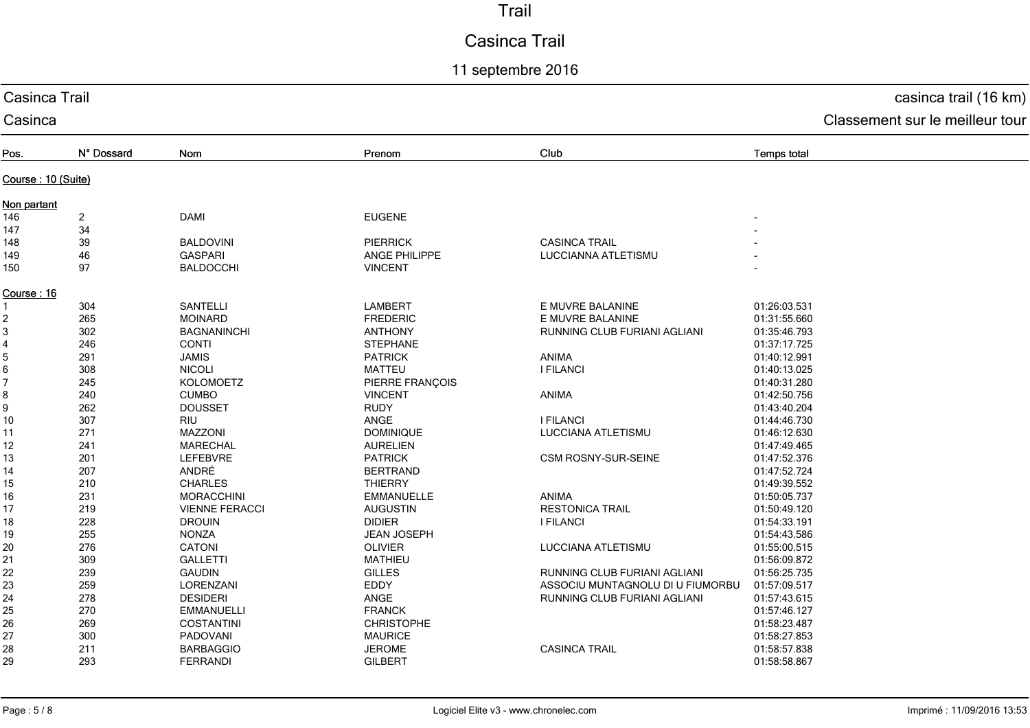# Casinca Trail

## 11 septembre 2016

| Casinca Trail      | casinca trail (16 km)   |                                 |                      |                                  |                    |  |
|--------------------|-------------------------|---------------------------------|----------------------|----------------------------------|--------------------|--|
| Casinca            |                         | Classement sur le meilleur tour |                      |                                  |                    |  |
| Pos.               | N° Dossard              | Nom                             | Prenom               | Club                             | <b>Temps total</b> |  |
| Course: 10 (Suite) |                         |                                 |                      |                                  |                    |  |
| Non partant        |                         |                                 |                      |                                  |                    |  |
| 146                | $\overline{\mathbf{c}}$ | <b>DAMI</b>                     | <b>EUGENE</b>        |                                  |                    |  |
| 147                | 34                      |                                 |                      |                                  |                    |  |
| 148                | 39                      | <b>BALDOVINI</b>                | <b>PIERRICK</b>      | <b>CASINCA TRAIL</b>             |                    |  |
| 149                | 46                      | <b>GASPARI</b>                  | <b>ANGE PHILIPPE</b> | LUCCIANNA ATLETISMU              |                    |  |
| 150                | 97                      | <b>BALDOCCHI</b>                | <b>VINCENT</b>       |                                  |                    |  |
| Course: 16         |                         |                                 |                      |                                  |                    |  |
| 1                  | 304                     | <b>SANTELLI</b>                 | <b>LAMBERT</b>       | E MUVRE BALANINE                 | 01:26:03.531       |  |
| 2                  | 265                     | <b>MOINARD</b>                  | <b>FREDERIC</b>      | E MUVRE BALANINE                 | 01:31:55.660       |  |
| 3                  | 302                     | <b>BAGNANINCHI</b>              | <b>ANTHONY</b>       | RUNNING CLUB FURIANI AGLIANI     | 01:35:46.793       |  |
| 4                  | 246                     | <b>CONTI</b>                    | <b>STEPHANE</b>      |                                  | 01:37:17.725       |  |
| 5                  | 291                     | <b>JAMIS</b>                    | <b>PATRICK</b>       | ANIMA                            | 01:40:12.991       |  |
| 6                  | 308                     | <b>NICOLI</b>                   | <b>MATTEU</b>        | <b>I FILANCI</b>                 | 01:40:13.025       |  |
| 7                  | 245                     | KOLOMOETZ                       | PIERRE FRANÇOIS      |                                  | 01:40:31.280       |  |
| 8                  | 240                     | <b>CUMBO</b>                    | <b>VINCENT</b>       | ANIMA                            | 01:42:50.756       |  |
| 9                  | 262                     | <b>DOUSSET</b>                  | <b>RUDY</b>          |                                  | 01:43:40.204       |  |
| 10                 | 307                     | RIU                             | ANGE                 | <b>I FILANCI</b>                 | 01:44:46.730       |  |
| 11                 | 271                     | MAZZONI                         | <b>DOMINIQUE</b>     | LUCCIANA ATLETISMU               | 01:46:12.630       |  |
| 12                 | 241                     | <b>MARECHAL</b>                 | <b>AURELIEN</b>      |                                  | 01:47:49.465       |  |
| 13                 | 201                     | <b>LEFEBVRE</b>                 | <b>PATRICK</b>       | CSM ROSNY-SUR-SEINE              | 01:47:52.376       |  |
| 14                 | 207                     | ANDRÉ                           | <b>BERTRAND</b>      |                                  | 01:47:52.724       |  |
| 15                 | 210                     | <b>CHARLES</b>                  | <b>THIERRY</b>       |                                  | 01:49:39.552       |  |
| 16                 | 231                     | <b>MORACCHINI</b>               | <b>EMMANUELLE</b>    | <b>ANIMA</b>                     | 01:50:05.737       |  |
| 17                 | 219                     | <b>VIENNE FERACCI</b>           | <b>AUGUSTIN</b>      | <b>RESTONICA TRAIL</b>           | 01:50:49.120       |  |
| 18                 | 228                     | <b>DROUIN</b>                   | <b>DIDIER</b>        | <b>I FILANCI</b>                 | 01:54:33.191       |  |
| 19                 | 255                     | <b>NONZA</b>                    | <b>JEAN JOSEPH</b>   |                                  | 01:54:43.586       |  |
| 20                 | 276                     | CATONI                          | <b>OLIVIER</b>       | LUCCIANA ATLETISMU               | 01:55:00.515       |  |
| 21                 | 309                     | <b>GALLETTI</b>                 | <b>MATHIEU</b>       |                                  | 01:56:09.872       |  |
| 22                 | 239                     | <b>GAUDIN</b>                   | <b>GILLES</b>        | RUNNING CLUB FURIANI AGLIANI     | 01:56:25.735       |  |
| 23                 | 259                     | LORENZANI                       | EDDY                 | ASSOCIU MUNTAGNOLU DI U FIUMORBU | 01:57:09.517       |  |
| 24                 | 278                     | <b>DESIDERI</b>                 | ANGE                 | RUNNING CLUB FURIANI AGLIANI     | 01:57:43.615       |  |
| 25                 | 270                     | <b>EMMANUELLI</b>               | <b>FRANCK</b>        |                                  | 01:57:46.127       |  |
| 26                 | 269                     | <b>COSTANTINI</b>               | <b>CHRISTOPHE</b>    |                                  | 01:58:23.487       |  |
| 27                 | 300                     | PADOVANI                        | <b>MAURICE</b>       |                                  | 01:58:27.853       |  |
| 28                 | 211                     | <b>BARBAGGIO</b>                | <b>JEROME</b>        | <b>CASINCA TRAIL</b>             | 01:58:57.838       |  |
|                    | 293                     | <b>FERRANDI</b>                 | <b>GILBERT</b>       |                                  | 01:58:58.867       |  |
| 29                 |                         |                                 |                      |                                  |                    |  |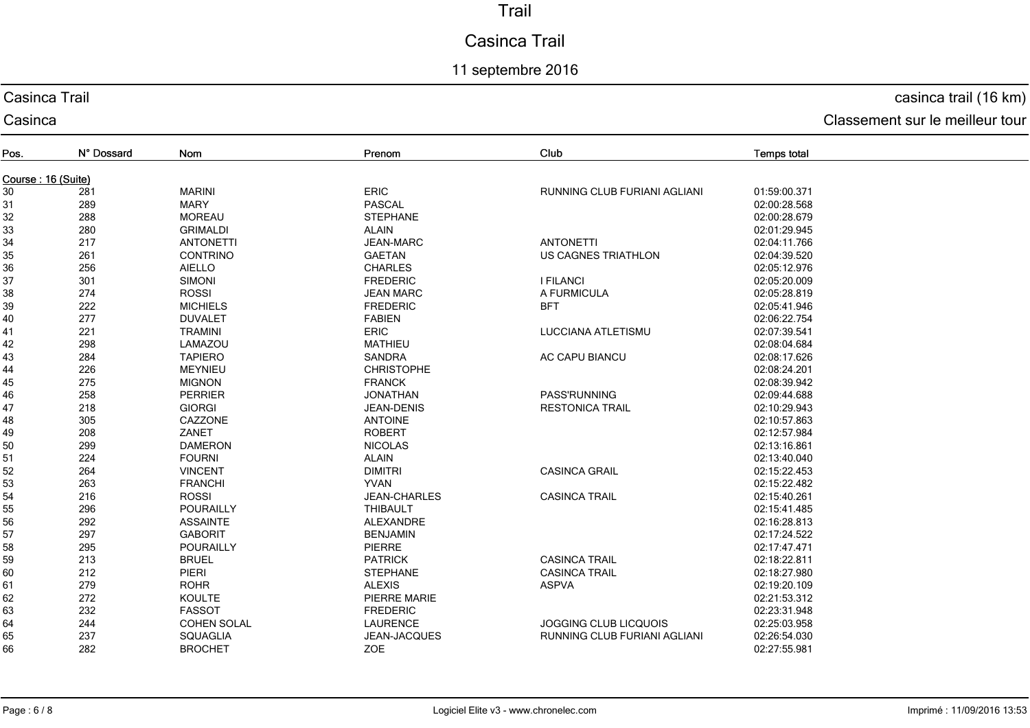# Casinca Trail

## 11 septembre 2016

## Casinca Trail

Casinca

## casinca trail (16 km)

| Pos.               | N° Dossard | Nom                | Prenom              | Club                                | <b>Temps total</b> |  |  |
|--------------------|------------|--------------------|---------------------|-------------------------------------|--------------------|--|--|
| Course: 16 (Suite) |            |                    |                     |                                     |                    |  |  |
| 30                 | 281        | <b>MARINI</b>      | ERIC                | RUNNING CLUB FURIANI AGLIANI        | 01:59:00.371       |  |  |
| 31                 | 289        | <b>MARY</b>        | <b>PASCAL</b>       |                                     | 02:00:28.568       |  |  |
| 32                 | 288        | <b>MOREAU</b>      | <b>STEPHANE</b>     |                                     | 02:00:28.679       |  |  |
| 33                 | 280        | <b>GRIMALDI</b>    | <b>ALAIN</b>        |                                     | 02:01:29.945       |  |  |
| 34                 | 217        | <b>ANTONETTI</b>   | <b>JEAN-MARC</b>    | <b>ANTONETTI</b>                    | 02:04:11.766       |  |  |
| 35                 | 261        | <b>CONTRINO</b>    | <b>GAETAN</b>       | <b>US CAGNES TRIATHLON</b>          | 02:04:39.520       |  |  |
| 36                 | 256        | <b>AIELLO</b>      | <b>CHARLES</b>      |                                     | 02:05:12.976       |  |  |
| 37                 | 301        | <b>SIMONI</b>      | <b>FREDERIC</b>     | <b>I FILANCI</b>                    | 02:05:20.009       |  |  |
| 38                 | 274        | <b>ROSSI</b>       | <b>JEAN MARC</b>    | A FURMICULA                         | 02:05:28.819       |  |  |
| 39                 | 222        | <b>MICHIELS</b>    | <b>FREDERIC</b>     | <b>BFT</b>                          | 02:05:41.946       |  |  |
| 40                 | 277        | <b>DUVALET</b>     | <b>FABIEN</b>       |                                     | 02:06:22.754       |  |  |
| 41                 | 221        | <b>TRAMINI</b>     | <b>ERIC</b>         | <b>LUCCIANA ATLETISMU</b>           | 02:07:39.541       |  |  |
| 42                 | 298        | LAMAZOU            | <b>MATHIEU</b>      |                                     | 02:08:04.684       |  |  |
| 43                 | 284        | <b>TAPIERO</b>     | SANDRA              | AC CAPU BIANCU                      | 02:08:17.626       |  |  |
| 44                 | 226        | <b>MEYNIEU</b>     | <b>CHRISTOPHE</b>   |                                     | 02:08:24.201       |  |  |
| 45                 | 275        | <b>MIGNON</b>      | <b>FRANCK</b>       |                                     | 02:08:39.942       |  |  |
| 46                 | 258        | <b>PERRIER</b>     | <b>JONATHAN</b>     | PASS'RUNNING                        | 02:09:44.688       |  |  |
| 47                 | 218        | <b>GIORGI</b>      | <b>JEAN-DENIS</b>   | <b>RESTONICA TRAIL</b>              | 02:10:29.943       |  |  |
| 48                 | 305        | CAZZONE            | <b>ANTOINE</b>      |                                     | 02:10:57.863       |  |  |
| 49                 | 208        | ZANET              | <b>ROBERT</b>       |                                     | 02:12:57.984       |  |  |
| 50                 | 299        | <b>DAMERON</b>     | <b>NICOLAS</b>      |                                     | 02:13:16.861       |  |  |
| 51                 | 224        | <b>FOURNI</b>      | <b>ALAIN</b>        |                                     | 02:13:40.040       |  |  |
| 52                 | 264        | <b>VINCENT</b>     | <b>DIMITRI</b>      | <b>CASINCA GRAIL</b>                | 02:15:22.453       |  |  |
| 53                 | 263        | <b>FRANCHI</b>     | <b>YVAN</b>         |                                     | 02:15:22.482       |  |  |
| 54                 | 216        | <b>ROSSI</b>       | <b>JEAN-CHARLES</b> | <b>CASINCA TRAIL</b>                | 02:15:40.261       |  |  |
| 55                 | 296        | <b>POURAILLY</b>   | <b>THIBAULT</b>     |                                     | 02:15:41.485       |  |  |
| 56                 | 292        | <b>ASSAINTE</b>    | ALEXANDRE           |                                     | 02:16:28.813       |  |  |
| 57                 | 297        | <b>GABORIT</b>     | <b>BENJAMIN</b>     |                                     | 02:17:24.522       |  |  |
| 58                 | 295        | <b>POURAILLY</b>   | PIERRE              |                                     | 02:17:47.471       |  |  |
| 59                 | 213        | <b>BRUEL</b>       | <b>PATRICK</b>      | <b>CASINCA TRAIL</b>                | 02:18:22.811       |  |  |
| 60                 | 212        | PIERI              | <b>STEPHANE</b>     | <b>CASINCA TRAIL</b>                | 02:18:27.980       |  |  |
| 61                 | 279        | <b>ROHR</b>        | <b>ALEXIS</b>       | <b>ASPVA</b>                        | 02:19:20.109       |  |  |
| 62                 | 272        | <b>KOULTE</b>      | PIERRE MARIE        |                                     | 02:21:53.312       |  |  |
| 63                 | 232        | <b>FASSOT</b>      | <b>FREDERIC</b>     |                                     | 02:23:31.948       |  |  |
| 64                 | 244        | <b>COHEN SOLAL</b> | LAURENCE            | JOGGING CLUB LICQUOIS               | 02:25:03.958       |  |  |
| 65                 | 237        | <b>SQUAGLIA</b>    | JEAN-JACQUES        | <b>RUNNING CLUB FURIANI AGLIANI</b> | 02:26:54.030       |  |  |
| 66                 | 282        | <b>BROCHET</b>     | <b>ZOE</b>          |                                     | 02:27:55.981       |  |  |
|                    |            |                    |                     |                                     |                    |  |  |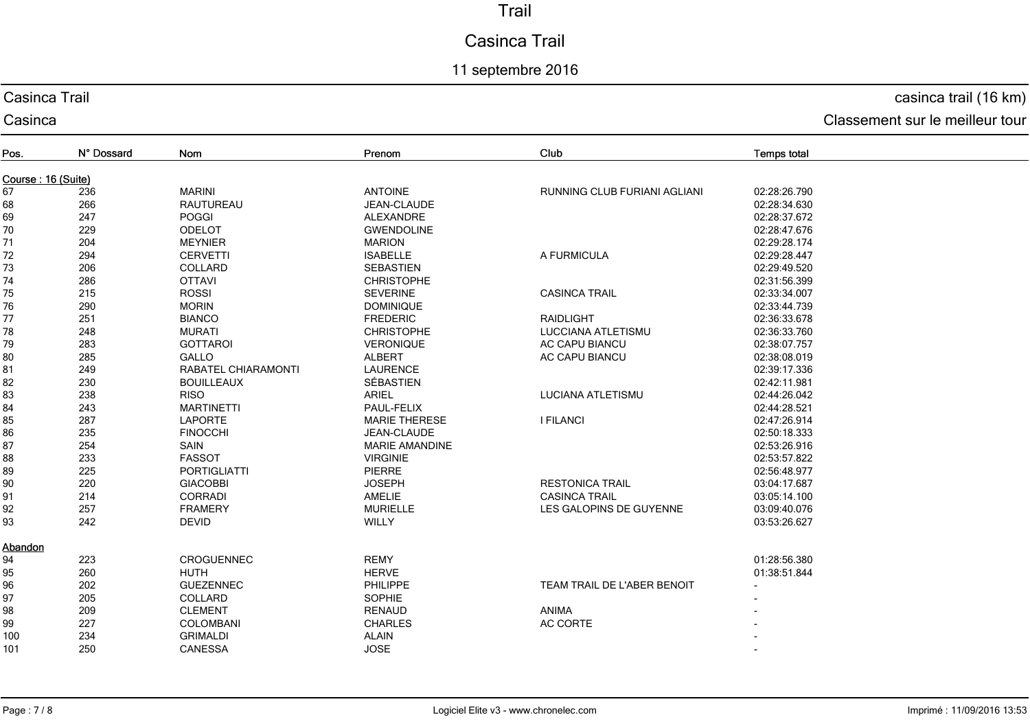# Casinca Trail

## 11 septembre 2016

## Casinca Trail

Casinca

## casinca trail (16 km)

| Pos.               | N° Dossard | Nom                 | Prenom                | Club                                | <b>Temps total</b> |  |  |
|--------------------|------------|---------------------|-----------------------|-------------------------------------|--------------------|--|--|
| Course: 16 (Suite) |            |                     |                       |                                     |                    |  |  |
| 67                 | 236        | <b>MARINI</b>       | <b>ANTOINE</b>        | <b>RUNNING CLUB FURIANI AGLIANI</b> | 02:28:26.790       |  |  |
| 68                 | 266        | <b>RAUTUREAU</b>    | JEAN-CLAUDE           |                                     | 02:28:34.630       |  |  |
| 69                 | 247        | <b>POGGI</b>        | ALEXANDRE             |                                     | 02:28:37.672       |  |  |
| 70                 | 229        | <b>ODELOT</b>       | <b>GWENDOLINE</b>     |                                     | 02:28:47.676       |  |  |
| 71                 | 204        | <b>MEYNIER</b>      | <b>MARION</b>         |                                     | 02:29:28.174       |  |  |
| 72                 | 294        | <b>CERVETTI</b>     | <b>ISABELLE</b>       | A FURMICULA                         | 02:29:28.447       |  |  |
| 73                 | 206        | COLLARD             | <b>SEBASTIEN</b>      |                                     | 02:29:49.520       |  |  |
| 74                 | 286        | <b>OTTAVI</b>       | <b>CHRISTOPHE</b>     |                                     | 02:31:56.399       |  |  |
| 75                 | 215        | <b>ROSSI</b>        | <b>SEVERINE</b>       | <b>CASINCA TRAIL</b>                | 02:33:34.007       |  |  |
| 76                 | 290        | <b>MORIN</b>        | <b>DOMINIQUE</b>      |                                     | 02:33:44.739       |  |  |
| 77                 | 251        | <b>BIANCO</b>       | <b>FREDERIC</b>       | <b>RAIDLIGHT</b>                    | 02:36:33.678       |  |  |
| 78                 | 248        | <b>MURATI</b>       | <b>CHRISTOPHE</b>     | <b>LUCCIANA ATLETISMU</b>           | 02:36:33.760       |  |  |
| 79                 | 283        | <b>GOTTAROI</b>     | <b>VERONIQUE</b>      | <b>AC CAPU BIANCU</b>               | 02:38:07.757       |  |  |
| 80                 | 285        | <b>GALLO</b>        | <b>ALBERT</b>         | <b>AC CAPU BIANCU</b>               | 02:38:08.019       |  |  |
| 81                 | 249        | RABATEL CHIARAMONTI | <b>LAURENCE</b>       |                                     | 02:39:17.336       |  |  |
| 82                 | 230        | <b>BOUILLEAUX</b>   | SÉBASTIEN             |                                     | 02:42:11.981       |  |  |
| 83                 | 238        | <b>RISO</b>         | <b>ARIEL</b>          | LUCIANA ATLETISMU                   | 02:44:26.042       |  |  |
| 84                 | 243        | <b>MARTINETTI</b>   | PAUL-FELIX            |                                     | 02:44:28.521       |  |  |
| 85                 | 287        | <b>LAPORTE</b>      | <b>MARIE THERESE</b>  | <b>I FILANCI</b>                    | 02:47:26.914       |  |  |
| 86                 | 235        | <b>FINOCCHI</b>     | JEAN-CLAUDE           |                                     | 02:50:18.333       |  |  |
| 87                 | 254        | SAIN                | <b>MARIE AMANDINE</b> |                                     | 02:53:26.916       |  |  |
| 88                 | 233        | <b>FASSOT</b>       | <b>VIRGINIE</b>       |                                     | 02:53:57.822       |  |  |
| 89                 | 225        | PORTIGLIATTI        | PIERRE                |                                     | 02:56:48.977       |  |  |
| 90                 | 220        | <b>GIACOBBI</b>     | <b>JOSEPH</b>         | <b>RESTONICA TRAIL</b>              | 03:04:17.687       |  |  |
| 91                 | 214        | <b>CORRADI</b>      | AMELIE                | <b>CASINCA TRAIL</b>                | 03:05:14.100       |  |  |
| 92                 | 257        | <b>FRAMERY</b>      | <b>MURIELLE</b>       | LES GALOPINS DE GUYENNE             | 03:09:40.076       |  |  |
| 93                 | 242        | <b>DEVID</b>        | WILLY                 |                                     | 03:53:26.627       |  |  |
| Abandon            |            |                     |                       |                                     |                    |  |  |
| 94                 | 223        | <b>CROGUENNEC</b>   | <b>REMY</b>           |                                     | 01:28:56.380       |  |  |
| 95                 | 260        | <b>HUTH</b>         | <b>HERVE</b>          |                                     | 01:38:51.844       |  |  |
| 96                 | 202        | <b>GUEZENNEC</b>    | PHILIPPE              | TEAM TRAIL DE L'ABER BENOIT         |                    |  |  |
| 97                 | 205        | COLLARD             | SOPHIE                |                                     |                    |  |  |
| 98                 | 209        | <b>CLEMENT</b>      | <b>RENAUD</b>         | ANIMA                               |                    |  |  |
| 99                 | 227        | <b>COLOMBANI</b>    | <b>CHARLES</b>        | AC CORTE                            |                    |  |  |
| 100                | 234        | <b>GRIMALDI</b>     | <b>ALAIN</b>          |                                     |                    |  |  |
| 101                | 250        | CANESSA             | <b>JOSE</b>           |                                     |                    |  |  |
|                    |            |                     |                       |                                     |                    |  |  |